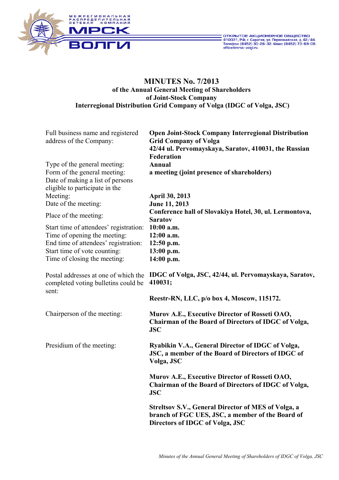



# **MINUTES No. 7/2013 of the Annual General Meeting of Shareholders of Joint-Stock Company Interregional Distribution Grid Company of Volga (IDGC of Volga, JSC)**

| Full business name and registered<br>address of the Company:                                                                                                            | <b>Open Joint-Stock Company Interregional Distribution</b><br><b>Grid Company of Volga</b><br>42/44 ul. Pervomayskaya, Saratov, 410031, the Russian<br>Federation |
|-------------------------------------------------------------------------------------------------------------------------------------------------------------------------|-------------------------------------------------------------------------------------------------------------------------------------------------------------------|
| Type of the general meeting:<br>Form of the general meeting:<br>Date of making a list of persons<br>eligible to participate in the                                      | <b>Annual</b><br>a meeting (joint presence of shareholders)                                                                                                       |
| Meeting:<br>Date of the meeting:                                                                                                                                        | April 30, 2013<br>June 11, 2013                                                                                                                                   |
| Place of the meeting:<br>Start time of attendees' registration:<br>Time of opening the meeting:<br>End time of attendees' registration:<br>Start time of vote counting: | Conference hall of Slovakiya Hotel, 30, ul. Lermontova,<br><b>Saratov</b><br>10:00 a.m.<br>12:00 a.m.<br>$12:50$ p.m.<br>13:00 p.m.<br>14:00 p.m.                 |
| Time of closing the meeting:<br>Postal addresses at one of which the<br>completed voting bulletins could be<br>sent:                                                    | IDGC of Volga, JSC, 42/44, ul. Pervomayskaya, Saratov,<br>410031;<br>Reestr-RN, LLC, p/o box 4, Moscow, 115172.                                                   |
| Chairperson of the meeting:                                                                                                                                             | Murov A.E., Executive Director of Rosseti OAO,<br>Chairman of the Board of Directors of IDGC of Volga,<br><b>JSC</b>                                              |
| Presidium of the meeting:                                                                                                                                               | Ryabikin V.A., General Director of IDGC of Volga,<br>JSC, a member of the Board of Directors of IDGC of<br>Volga, JSC                                             |
|                                                                                                                                                                         | Murov A.E., Executive Director of Rosseti OAO,<br>Chairman of the Board of Directors of IDGC of Volga,<br><b>JSC</b>                                              |
|                                                                                                                                                                         | <b>Streltsov S.V., General Director of MES of Volga, a</b><br>branch of FGC UES, JSC, a member of the Board of<br>Directors of IDGC of Volga, JSC                 |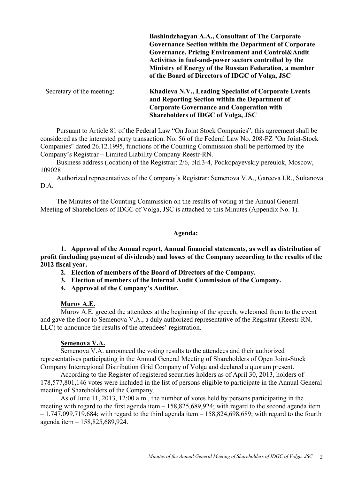**Bashindzhagyan A.A., Consultant of The Corporate Governance Section within the Department of Corporate Governance, Pricing Environment and Control&Audit Activities in fuel-and-power sectors controlled by the Ministry of Energy of the Russian Federation, a member of the Board of Directors of IDGC of Volga, JSC**

Secretary of the meeting: **Khadieva N.V., Leading Specialist of Corporate Events and Reporting Section within the Department of Corporate Governance and Cooperation with Shareholders of IDGC of Volga, JSC** 

Pursuant to Article 81 of the Federal Law "On Joint Stock Companies", this agreement shall be considered as the interested party transaction: No. 56 of the Federal Law No. 208-FZ "On Joint-Stock Companies" dated 26.12.1995, functions of the Counting Commission shall be performed by the Company's Registrar – Limited Liability Company Reestr-RN.

Business address (location) of the Registrar: 2/6, bld.3-4, Podkopayevskiy pereulok, Moscow, 109028

Authorized representatives of the Company's Registrar: Semenova V.A., Gareeva I.R., Sultanova D.A.

 The Minutes of the Counting Commission on the results of voting at the Annual General Meeting of Shareholders of IDGC of Volga, JSC is attached to this Minutes (Appendix No. 1).

#### **Agenda:**

**1. Approval of the Annual report, Annual financial statements, as well as distribution of profit (including payment of dividends) and losses of the Company according to the results of the 2012 fiscal year.** 

- **2. Election of members of the Board of Directors of the Company.**
- **3. Election of members of the Internal Audit Commission of the Company.**
- **4. Approval of the Company's Auditor.**

#### **Murov A.E.**

 Murov A.E. greeted the attendees at the beginning of the speech, welcomed them to the event and gave the floor to Semenova V.A., a duly authorized representative of the Registrar (Reestr-RN, LLC) to announce the results of the attendees' registration.

#### **Semenova V.A.**

Semenova V.A. announced the voting results to the attendees and their authorized representatives participating in the Annual General Meeting of Shareholders of Open Joint-Stock Company Interregional Distribution Grid Company of Volga and declared a quorum present.

According to the Register of registered securities holders as of April 30, 2013, holders of 178,577,801,146 votes were included in the list of persons eligible to participate in the Annual General meeting of Shareholders of the Company.

As of June 11, 2013, 12:00 a.m., the number of votes held by persons participating in the meeting with regard to the first agenda item – 158,825,689,924; with regard to the second agenda item  $-1,747,099,719,684$ ; with regard to the third agenda item  $-158,824,698,689$ ; with regard to the fourth agenda item – 158,825,689,924.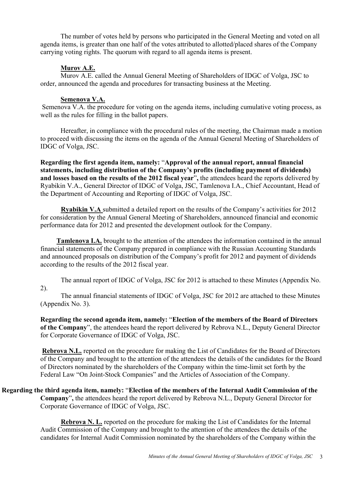The number of votes held by persons who participated in the General Meeting and voted on all agenda items, is greater than one half of the votes attributed to allotted/placed shares of the Company carrying voting rights. The quorum with regard to all agenda items is present.

## **Murov A.E.**

Murov A.E. called the Annual General Meeting of Shareholders of IDGC of Volga, JSC to order, announced the agenda and procedures for transacting business at the Meeting.

### **Semenova V.A.**

 Semenova V.A. the procedure for voting on the agenda items, including cumulative voting process, as well as the rules for filling in the ballot papers.

Hereafter, in compliance with the procedural rules of the meeting, the Chairman made a motion to proceed with discussing the items on the agenda of the Annual General Meeting of Shareholders of IDGC of Volga, JSC.

**Regarding the first agenda item, namely:** "**Approval of the annual report, annual financial statements, including distribution of the Company's profits (including payment of dividends) and losses based on the results of the 2012 fiscal year**"**,** the attendees heard the reports delivered by Ryabikin V.A., General Director of IDGC of Volga, JSC, Tamlenova I.A., Chief Accountant, Head of the Department of Accounting and Reporting of IDGC of Volga, JSC.

**Ryabikin V.A** submitted a detailed report on the results of the Company's activities for 2012 for consideration by the Annual General Meeting of Shareholders, announced financial and economic performance data for 2012 and presented the development outlook for the Company.

**Tamlenova I.A.** brought to the attention of the attendees the information contained in the annual financial statements of the Company prepared in compliance with the Russian Accounting Standards and announced proposals on distribution of the Company's profit for 2012 and payment of dividends according to the results of the 2012 fiscal year.

 The annual report of IDGC of Volga, JSC for 2012 is attached to these Minutes (Appendix No. 2).

 The annual financial statements of IDGC of Volga, JSC for 2012 are attached to these Minutes (Appendix No. 3).

**Regarding the second agenda item, namely:** "**Election of the members of the Board of Directors of the Company**", the attendees heard the report delivered by Rebrova N.L., Deputy General Director for Corporate Governance of IDGC of Volga, JSC.

**Rebrova N.L.** reported on the procedure for making the List of Candidates for the Board of Directors of the Company and brought to the attention of the attendees the details of the candidates for the Board of Directors nominated by the shareholders of the Company within the time-limit set forth by the Federal Law "On Joint-Stock Companies" and the Articles of Association of the Company.

 **Regarding the third agenda item, namely:** "**Election of the members of the Internal Audit Commission of the Company**"**,** the attendees heard the report delivered by Rebrova N.L., Deputy General Director for Corporate Governance of IDGC of Volga, JSC.

> **Rebrova N. L.** reported on the procedure for making the List of Candidates for the Internal Audit Commission of the Company and brought to the attention of the attendees the details of the candidates for Internal Audit Commission nominated by the shareholders of the Company within the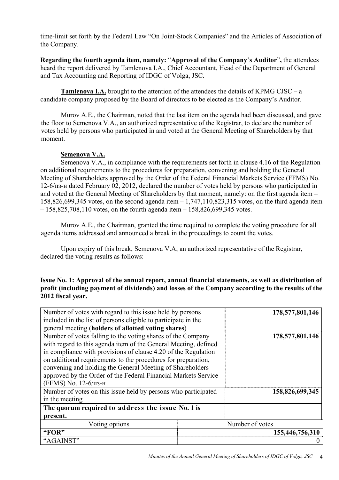time-limit set forth by the Federal Law "On Joint-Stock Companies" and the Articles of Association of the Company.

**Regarding the fourth agenda item, namely:** "**Approval of the Company**'**s Auditor**"**,** the attendees heard the report delivered by Tamlenova I.A., Chief Accountant, Head of the Department of General and Tax Accounting and Reporting of IDGC of Volga, JSC.

**Tamlenova I.A.** brought to the attention of the attendees the details of KPMG CJSC – a candidate company proposed by the Board of directors to be elected as the Company's Auditor.

 Murov A.E., the Chairman, noted that the last item on the agenda had been discussed, and gave the floor to Semenova V.A., an authorized representative of the Registrar, to declare the number of votes held by persons who participated in and voted at the General Meeting of Shareholders by that moment.

# **Semenova V.A.**

Semenova V.A., in compliance with the requirements set forth in clause 4.16 of the Regulation on additional requirements to the procedures for preparation, convening and holding the General Meeting of Shareholders approved by the Order of the Federal Financial Markets Service (FFMS) No. 12-6/пз-н dated February 02, 2012, declared the number of votes held by persons who participated in and voted at the General Meeting of Shareholders by that moment, namely: on the first agenda item – 158,826,699,345 votes, on the second agenda item – 1,747,110,823,315 votes, on the third agenda item  $-158,825,708,110$  votes, on the fourth agenda item  $-158,826,699,345$  votes.

 Murov A.E., the Chairman, granted the time required to complete the voting procedure for all agenda items addressed and announced a break in the proceedings to count the votes.

 Upon expiry of this break, Semenova V.A, an authorized representative of the Registrar, declared the voting results as follows:

## **Issue No. 1: Approval of the annual report, annual financial statements, as well as distribution of profit (including payment of dividends) and losses of the Company according to the results of the 2012 fiscal year.**

| Number of votes with regard to this issue held by persons<br>included in the list of persons eligible to participate in the                                                                                                                                                                                                                                                                                              |  | 178,577,801,146 |
|--------------------------------------------------------------------------------------------------------------------------------------------------------------------------------------------------------------------------------------------------------------------------------------------------------------------------------------------------------------------------------------------------------------------------|--|-----------------|
| general meeting (holders of allotted voting shares)                                                                                                                                                                                                                                                                                                                                                                      |  |                 |
| Number of votes falling to the voting shares of the Company<br>with regard to this agenda item of the General Meeting, defined<br>in compliance with provisions of clause 4.20 of the Regulation<br>on additional requirements to the procedures for preparation,<br>convening and holding the General Meeting of Shareholders<br>approved by the Order of the Federal Financial Markets Service<br>(FFMS) No. 12-6/пз-н |  | 178,577,801,146 |
| Number of votes on this issue held by persons who participated                                                                                                                                                                                                                                                                                                                                                           |  | 158,826,699,345 |
| in the meeting                                                                                                                                                                                                                                                                                                                                                                                                           |  |                 |
| The quorum required to address the issue No. 1 is                                                                                                                                                                                                                                                                                                                                                                        |  |                 |
| present.                                                                                                                                                                                                                                                                                                                                                                                                                 |  |                 |
| Voting options                                                                                                                                                                                                                                                                                                                                                                                                           |  | Number of votes |
| "FOR"                                                                                                                                                                                                                                                                                                                                                                                                                    |  | 155,446,756,310 |
| "AGAINST"                                                                                                                                                                                                                                                                                                                                                                                                                |  |                 |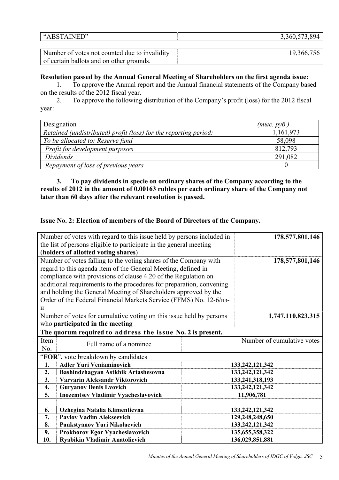| ITD"<br>,,<br>$\cdot$ .<br>.<br>$\sim$<br>the contract of the contract of the contract of the contract of the contract of the contract of the contract of | $  -$<br>$\sim$ $\sim$<br>-<br>,,,,,<br>. |
|-----------------------------------------------------------------------------------------------------------------------------------------------------------|-------------------------------------------|
|                                                                                                                                                           |                                           |

| Number of votes not counted due to invalidity | 19,366,756 |
|-----------------------------------------------|------------|
| of certain ballots and on other grounds.      |            |

#### **Resolution passed by the Annual General Meeting of Shareholders on the first agenda issue:**

1. To approve the Annual report and the Annual financial statements of the Company based on the results of the 2012 fiscal year.

2. To approve the following distribution of the Company's profit (loss) for the 2012 fiscal year:

| Designation                                                      | (muc. py6.) |
|------------------------------------------------------------------|-------------|
| Retained (undistributed) profit (loss) for the reporting period: | 1,161,973   |
| To be allocated to: Reserve fund                                 | 58,098      |
| Profit for development purposes                                  | 812,793     |
| Dividends                                                        | 291,082     |
| Repayment of loss of previous years                              |             |

**3. To pay dividends in specie on ordinary shares of the Company according to the results of 2012 in the amount of 0.00163 rubles per each ordinary share of the Company not later than 60 days after the relevant resolution is passed.** 

## **Issue No. 2: Election of members of the Board of Directors of the Company.**

|                                                                      | Number of votes with regard to this issue held by persons included in |                            |  |
|----------------------------------------------------------------------|-----------------------------------------------------------------------|----------------------------|--|
| the list of persons eligible to participate in the general meeting   |                                                                       |                            |  |
| (holders of allotted voting shares)                                  |                                                                       |                            |  |
| Number of votes falling to the voting shares of the Company with     |                                                                       | 178,577,801,146            |  |
| regard to this agenda item of the General Meeting, defined in        |                                                                       |                            |  |
| compliance with provisions of clause 4.20 of the Regulation on       |                                                                       |                            |  |
| additional requirements to the procedures for preparation, convening |                                                                       |                            |  |
| and holding the General Meeting of Shareholders approved by the      |                                                                       |                            |  |
| Order of the Federal Financial Markets Service (FFMS) No. 12-6/n3-   |                                                                       |                            |  |
| H                                                                    |                                                                       |                            |  |
| Number of votes for cumulative voting on this issue held by persons  |                                                                       | 1,747,110,823,315          |  |
| who participated in the meeting                                      |                                                                       |                            |  |
| The quorum required to address the issue No. 2 is present.           |                                                                       |                            |  |
| Item<br>Full name of a nominee                                       |                                                                       | Number of cumulative votes |  |
| No.                                                                  |                                                                       |                            |  |
| "FOR", vote breakdown by candidates                                  |                                                                       |                            |  |
| <b>Adler Yuri Veniaminovich</b><br>1.                                |                                                                       | 133, 242, 121, 342         |  |
| Bashindzhagyan Astkhik Artashesovna<br>2.                            |                                                                       | 133, 242, 121, 342         |  |
| Varvarin Aleksandr Viktorovich<br>3.                                 |                                                                       | 133,241,318,193            |  |
| <b>Guryanov Denis Lvovich</b><br>4.                                  | 133, 242, 121, 342                                                    |                            |  |
| 5.<br><b>Inozemtsev Vladimir Vyacheslavovich</b>                     | 11,906,781                                                            |                            |  |
|                                                                      |                                                                       |                            |  |
| Ozhegina Natalia Klimentievna<br>6.                                  |                                                                       | 133, 242, 121, 342         |  |
| <b>Pavlov Vadim Alekseevich</b><br>7.                                |                                                                       | 129,248,248,650            |  |
| 8.<br>Pankstyanov Yuri Nikolaevich                                   |                                                                       | 133, 242, 121, 342         |  |
| Prokhorov Egor Vyacheslavovich<br>9.                                 |                                                                       | 135, 655, 358, 322         |  |
| 10.<br><b>Ryabikin Vladimir Anatolievich</b>                         | 136,029,851,881                                                       |                            |  |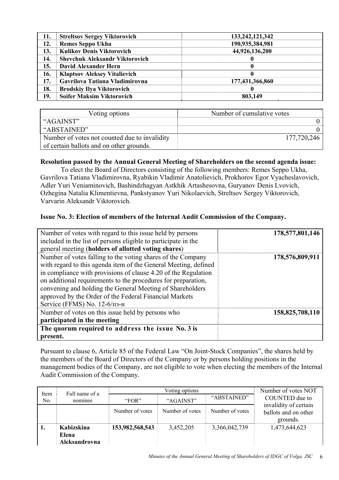| 11. | <b>Streltsov Sergey Viktorovich</b>   | 133,242,121,342 |
|-----|---------------------------------------|-----------------|
| 12. | <b>Remes Seppo Ukha</b>               | 190,935,384,981 |
| 13. | <b>Kulikov Denis Viktorovich</b>      | 44,926,136,200  |
| 14. | <b>Shevchuk Aleksandr Viktorovich</b> |                 |
| 15. | David Alexander Hern                  | 0               |
| 16. | <b>Klaptsov Aleksey Vitalievich</b>   |                 |
| 17. | Gavrilova Tatiana Vladimirovna        | 177,431,366,860 |
| 18. | <b>Brodskiy Ilya Viktorovich</b>      |                 |
| 19. | <b>Soifer Maksim Viktorovich</b>      | 803,149         |

| Voting options                                | Number of cumulative votes |
|-----------------------------------------------|----------------------------|
| "AGAINST"                                     |                            |
| "ABSTAINED"                                   |                            |
| Number of votes not counted due to invalidity | 177,720,246                |
| of certain ballots and on other grounds.      |                            |

## **Resolution passed by the Annual General Meeting of Shareholders on the second agenda issue:**

 To elect the Board of Directors consisting of the following members: Remes Seppo Ukha, Gavrilova Tatiana Vladimirovna, Ryabikin Vladimir Anatolievich, Prokhorov Egor Vyacheslavovich, Adler Yuri Veniaminovich, Bashindzhagyan Astkhik Artashesovna, Guryanov Denis Lvovich, Ozhegina Natalia Klimentievna, Pankstyanov Yuri Nikolaevich, Streltsov Sergey Viktorovich, Varvarin Aleksandr Viktorovich.

## **Issue No. 3: Election of members of the Internal Audit Commission of the Company.**

| Number of votes with regard to this issue held by persons       | 178,577,801,146 |
|-----------------------------------------------------------------|-----------------|
| included in the list of persons eligible to participate in the  |                 |
| general meeting (holders of allotted voting shares)             |                 |
| Number of votes falling to the voting shares of the Company     | 178,576,809,911 |
| with regard to this agenda item of the General Meeting, defined |                 |
| in compliance with provisions of clause 4.20 of the Regulation  |                 |
| on additional requirements to the procedures for preparation,   |                 |
| convening and holding the General Meeting of Shareholders       |                 |
| approved by the Order of the Federal Financial Markets          |                 |
| Service (FFMS) No. 12-6/пз-н                                    |                 |
| Number of votes on this issue held by persons who               | 158,825,708,110 |
| participated in the meeting                                     |                 |
| The quorum required to address the issue No. 3 is               |                 |
| present.                                                        |                 |

Pursuant to clause 6, Article 85 of the Federal Law "On Joint-Stock Companies", the shares held by the members of the Board of Directors of the Company or by persons holding positions in the management bodies of the Company, are not eligible to vote when electing the members of the Internal Audit Commission of the Company.

| Item | Full name of a                       | Voting options  |                 |                 | Number of votes NOT                                       |
|------|--------------------------------------|-----------------|-----------------|-----------------|-----------------------------------------------------------|
| No.  | nominee                              | "FOR"           | "AGAINST"       | "ABSTAINED"     | COUNTED due to                                            |
|      |                                      | Number of votes | Number of votes | Number of votes | invalidity of certain<br>ballots and on other<br>grounds. |
|      | Kabizskina<br>Elena<br>Aleksandrovna | 153,982,568,543 | 3,452,205       | 3,366,042,739   | 1,473,644,623                                             |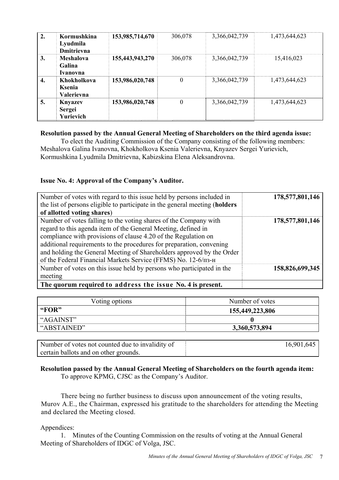| 2. | Kormushkina<br>Lyudmila<br><b>Dmitrievna</b> | 153,985,714,670 | 306,078          | 3,366,042,739 | 1,473,644,623 |
|----|----------------------------------------------|-----------------|------------------|---------------|---------------|
| 3. | <b>Meshalova</b><br>Galina<br>Ivanovna       | 155,443,943,270 | 306,078          | 3,366,042,739 | 15,416,023    |
| 4. | Khokholkova<br>Ksenia<br>Valerievna          | 153,986,020,748 | $\boldsymbol{0}$ | 3,366,042,739 | 1,473,644,623 |
| 5. | <b>Knyazev</b><br><b>Sergei</b><br>Yurievich | 153,986,020,748 | $\boldsymbol{0}$ | 3,366,042,739 | 1,473,644,623 |

## **Resolution passed by the Annual General Meeting of Shareholders on the third agenda issue:**

 To elect the Auditing Commission of the Company consisting of the following members: Meshalova Galina Ivanovna, Khokholkova Ksenia Valerievna, Knyazev Sergei Yurievich, Kormushkina Lyudmila Dmitrievna, Kabizskina Elena Aleksandrovna.

## **Issue No. 4: Approval of the Company's Auditor.**

| Number of votes with regard to this issue held by persons included in       | 178,577,801,146 |
|-----------------------------------------------------------------------------|-----------------|
| the list of persons eligible to participate in the general meeting (holders |                 |
| of allotted voting shares)                                                  |                 |
| Number of votes falling to the voting shares of the Company with            | 178,577,801,146 |
| regard to this agenda item of the General Meeting, defined in               |                 |
| compliance with provisions of clause 4.20 of the Regulation on              |                 |
| additional requirements to the procedures for preparation, convening        |                 |
| and holding the General Meeting of Shareholders approved by the Order       |                 |
| of the Federal Financial Markets Service (FFMS) No. 12-6/пз-н               |                 |
| Number of votes on this issue held by persons who participated in the       | 158,826,699,345 |
| meeting                                                                     |                 |
| The quorum required to address the issue No. 4 is present.                  |                 |

| Voting options | Number of votes |
|----------------|-----------------|
| "FOR"          | 155,449,223,806 |
| "AGAINST"      |                 |
| "ABSTAINED"    | 3,360,573,894   |

| Number of votes not counted due to invalidity of | 16,901,645 |
|--------------------------------------------------|------------|
| certain ballots and on other grounds.            |            |

## **Resolution passed by the Annual General Meeting of Shareholders on the fourth agenda item:**  To approve KPMG, CJSC as the Company's Auditor.

 There being no further business to discuss upon announcement of the voting results, Murov A.E., the Chairman, expressed his gratitude to the shareholders for attending the Meeting and declared the Meeting closed.

#### Appendices:

1. Minutes of the Counting Commission on the results of voting at the Annual General Meeting of Shareholders of IDGC of Volga, JSC.